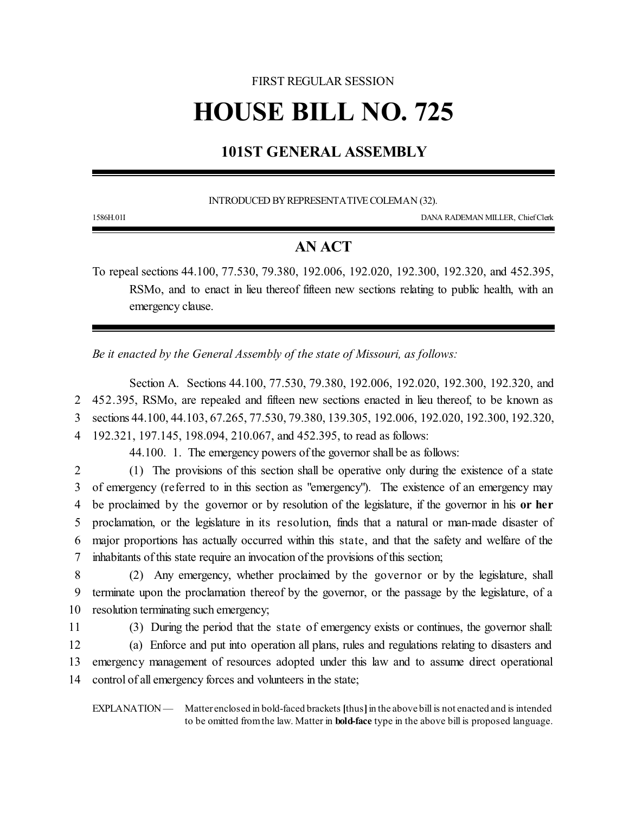# FIRST REGULAR SESSION

# **HOUSE BILL NO. 725**

# **101ST GENERAL ASSEMBLY**

## INTRODUCED BY REPRESENTATIVE COLEMAN (32).

1586H.01I DANA RADEMAN MILLER, ChiefClerk

# **AN ACT**

To repeal sections 44.100, 77.530, 79.380, 192.006, 192.020, 192.300, 192.320, and 452.395, RSMo, and to enact in lieu thereof fifteen new sections relating to public health, with an emergency clause.

*Be it enacted by the General Assembly of the state of Missouri, as follows:*

Section A. Sections 44.100, 77.530, 79.380, 192.006, 192.020, 192.300, 192.320, and 452.395, RSMo, are repealed and fifteen new sections enacted in lieu thereof, to be known as sections 44.100, 44.103, 67.265, 77.530, 79.380, 139.305, 192.006, 192.020, 192.300, 192.320, 192.321, 197.145, 198.094, 210.067, and 452.395, to read as follows:

44.100. 1. The emergency powers of the governor shall be as follows:

 (1) The provisions of this section shall be operative only during the existence of a state of emergency (referred to in this section as "emergency"). The existence of an emergency may be proclaimed by the governor or by resolution of the legislature, if the governor in his **or her** proclamation, or the legislature in its resolution, finds that a natural or man-made disaster of major proportions has actually occurred within this state, and that the safety and welfare of the inhabitants of this state require an invocation of the provisions of this section;

8 (2) Any emergency, whether proclaimed by the governor or by the legislature, shall 9 terminate upon the proclamation thereof by the governor, or the passage by the legislature, of a 10 resolution terminating such emergency;

 (3) During the period that the state of emergency exists or continues, the governor shall: (a) Enforce and put into operation all plans, rules and regulations relating to disasters and emergency management of resources adopted under this law and to assume direct operational control of all emergency forces and volunteers in the state;

EXPLANATION — Matter enclosed in bold-faced brackets **[**thus**]**in the above bill is not enacted and is intended to be omitted fromthe law. Matter in **bold-face** type in the above bill is proposed language.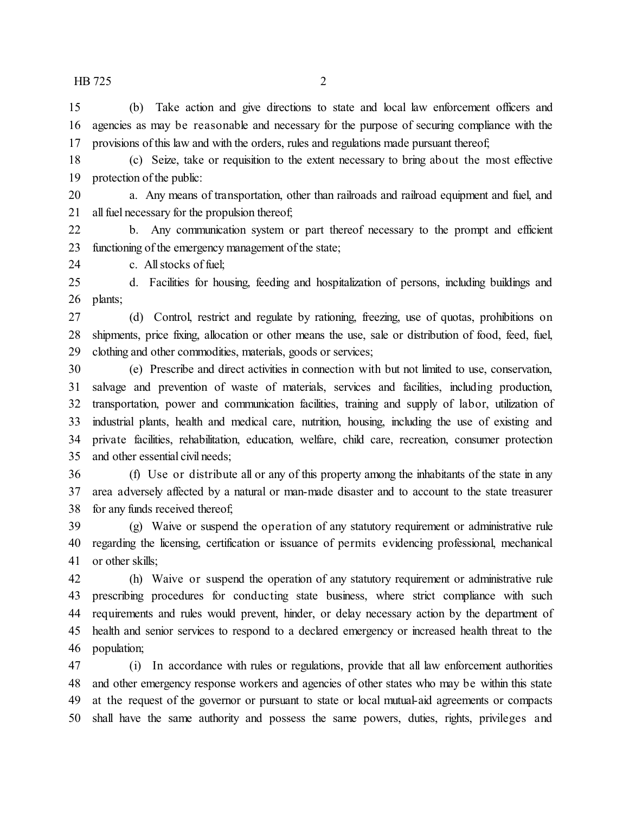(b) Take action and give directions to state and local law enforcement officers and agencies as may be reasonable and necessary for the purpose of securing compliance with the provisions of this law and with the orders, rules and regulations made pursuant thereof;

 (c) Seize, take or requisition to the extent necessary to bring about the most effective protection of the public:

 a. Any means of transportation, other than railroads and railroad equipment and fuel, and all fuel necessary for the propulsion thereof;

 b. Any communication system or part thereof necessary to the prompt and efficient 23 functioning of the emergency management of the state;

c. All stocks of fuel;

 d. Facilities for housing, feeding and hospitalization of persons, including buildings and plants;

 (d) Control, restrict and regulate by rationing, freezing, use of quotas, prohibitions on shipments, price fixing, allocation or other means the use, sale or distribution of food, feed, fuel, clothing and other commodities, materials, goods or services;

 (e) Prescribe and direct activities in connection with but not limited to use, conservation, salvage and prevention of waste of materials, services and facilities, including production, transportation, power and communication facilities, training and supply of labor, utilization of industrial plants, health and medical care, nutrition, housing, including the use of existing and private facilities, rehabilitation, education, welfare, child care, recreation, consumer protection and other essential civil needs;

 (f) Use or distribute all or any of this property among the inhabitants of the state in any area adversely affected by a natural or man-made disaster and to account to the state treasurer for any funds received thereof;

 (g) Waive or suspend the operation of any statutory requirement or administrative rule regarding the licensing, certification or issuance of permits evidencing professional, mechanical or other skills;

 (h) Waive or suspend the operation of any statutory requirement or administrative rule prescribing procedures for conducting state business, where strict compliance with such requirements and rules would prevent, hinder, or delay necessary action by the department of health and senior services to respond to a declared emergency or increased health threat to the population;

 (i) In accordance with rules or regulations, provide that all law enforcement authorities and other emergency response workers and agencies of other states who may be within this state at the request of the governor or pursuant to state or local mutual-aid agreements or compacts shall have the same authority and possess the same powers, duties, rights, privileges and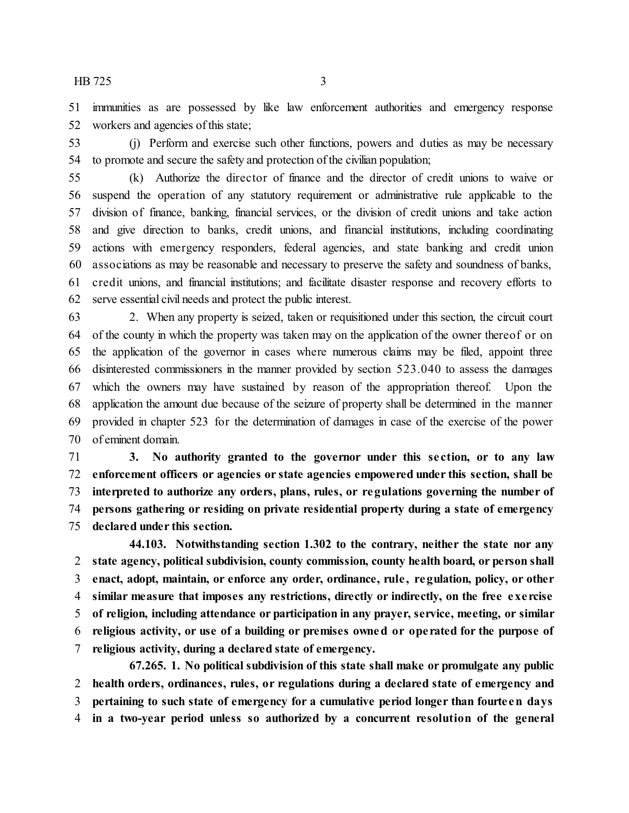immunities as are possessed by like law enforcement authorities and emergency response workers and agencies of this state;

 (j) Perform and exercise such other functions, powers and duties as may be necessary to promote and secure the safety and protection of the civilian population;

 (k) Authorize the director of finance and the director of credit unions to waive or suspend the operation of any statutory requirement or administrative rule applicable to the division of finance, banking, financial services, or the division of credit unions and take action and give direction to banks, credit unions, and financial institutions, including coordinating actions with emergency responders, federal agencies, and state banking and credit union associations as may be reasonable and necessary to preserve the safety and soundness of banks, credit unions, and financial institutions; and facilitate disaster response and recovery efforts to serve essential civil needs and protect the public interest.

 2. When any property is seized, taken or requisitioned under this section, the circuit court of the county in which the property was taken may on the application of the owner thereof or on the application of the governor in cases where numerous claims may be filed, appoint three disinterested commissioners in the manner provided by section 523.040 to assess the damages which the owners may have sustained by reason of the appropriation thereof. Upon the application the amount due because of the seizure of property shall be determined in the manner provided in chapter 523 for the determination of damages in case of the exercise of the power of eminent domain.

 **3. No authority granted to the governor under this se ction, or to any law enforcement officers or agencies or state agencies empowered under this section, shall be interpreted to authorize any orders, plans, rules, or regulations governing the number of persons gathering or residing on private residential property during a state of emergency declared under this section.**

**44.103. Notwithstanding section 1.302 to the contrary, neither the state nor any state agency, political subdivision, county commission, county health board, or person shall enact, adopt, maintain, or enforce any order, ordinance, rule , regulation, policy, or other similar measure that imposes any restrictions, directly or indirectly, on the free exe rcise of religion, including attendance or participation in any prayer, service, meeting, or similar religious activity, or use of a building or premises owned or ope rated for the purpose of religious activity, during a declared state of emergency.**

**67.265. 1. No political subdivision of this state shall make or promulgate any public health orders, ordinances, rules, or regulations during a declared state of emergency and pertaining to such state of emergency for a cumulative period longer than fourte en days in a two-year period unless so authorized by a concurrent resolution of the general**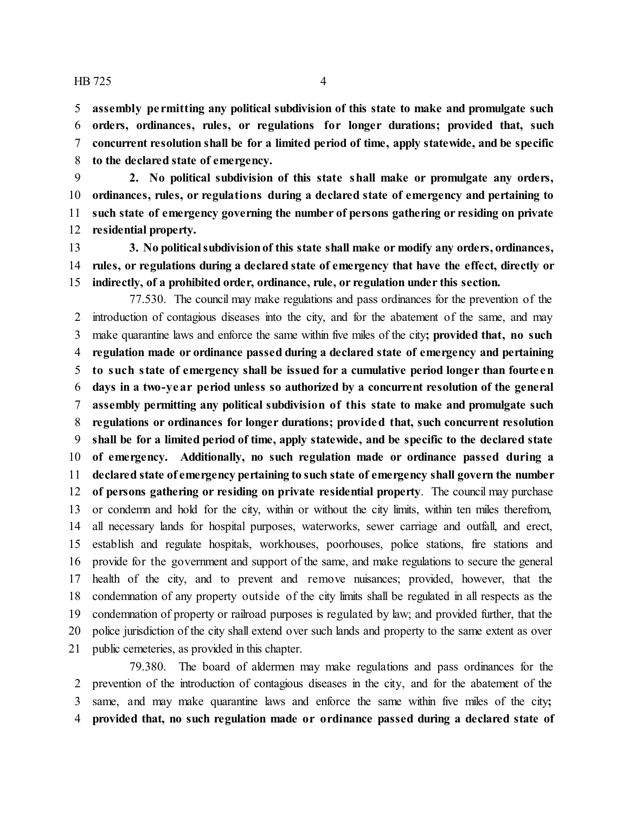**assembly pe rmitting any political subdivision of this state to make and promulgate such orders, ordinances, rules, or regulations for longer durations; provided that, such concurrent resolution shall be for a limited period of time, apply statewide, and be specific to the declared state of emergency.**

 **2. No political subdivision of this state shall make or promulgate any orders, ordinances, rules, or regulations during a declared state of emergency and pertaining to such state of emergency governing the number of persons gathering or residing on private residential property.**

 **3. No politicalsubdivisionof this state shall make or modify any orders, ordinances, rules, or regulations during a declared state of emergency that have the effect, directly or indirectly, of a prohibited order, ordinance, rule, or regulation under this section.**

77.530. The council may make regulations and pass ordinances for the prevention of the introduction of contagious diseases into the city, and for the abatement of the same, and may make quarantine laws and enforce the same within five miles of the city**; provided that, no such regulation made or ordinance passed during a declared state of emergency and pertaining to such state of emergency shall be issued for a cumulative period longer than fourte en days in a two-year period unless so authorized by a concurrent resolution of the general assembly permitting any political subdivision of this state to make and promulgate such regulations or ordinances for longer durations; provided that, such concurrent resolution shall be for a limited period of time, apply statewide, and be specific to the declared state of emergency. Additionally, no such regulation made or ordinance passed during a declared state of emergency pertaining to such state of emergency shall govern the number of persons gathering or residing on private residential property**. The council may purchase or condemn and hold for the city, within or without the city limits, within ten miles therefrom, all necessary lands for hospital purposes, waterworks, sewer carriage and outfall, and erect, establish and regulate hospitals, workhouses, poorhouses, police stations, fire stations and provide for the government and support of the same, and make regulations to secure the general health of the city, and to prevent and remove nuisances; provided, however, that the condemnation of any property outside of the city limits shall be regulated in all respects as the condemnation of property or railroad purposes is regulated by law; and provided further, that the police jurisdiction of the city shall extend over such lands and property to the same extent as over public cemeteries, as provided in this chapter.

79.380. The board of aldermen may make regulations and pass ordinances for the prevention of the introduction of contagious diseases in the city, and for the abatement of the same, and may make quarantine laws and enforce the same within five miles of the city**; provided that, no such regulation made or ordinance passed during a declared state of**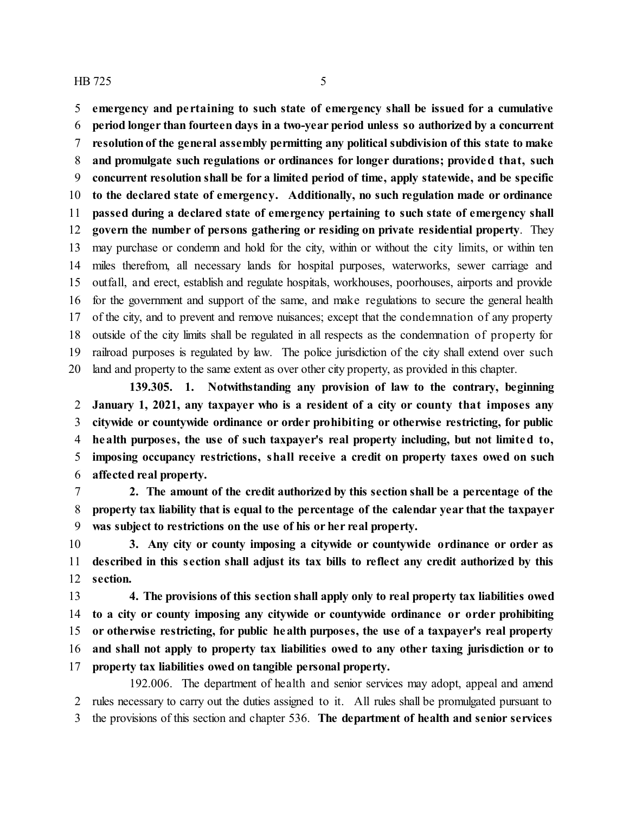**emergency and pe rtaining to such state of emergency shall be issued for a cumulative period longer than fourteen days in a two-year period unless so authorized by a concurrent resolutionof the general assembly permitting any political subdivision of this state to make and promulgate such regulations or ordinances for longer durations; provided that, such concurrent resolution shall be for a limited period of time, apply statewide, and be specific to the declared state of emergency. Additionally, no such regulation made or ordinance passed during a declared state of emergency pertaining to such state of emergency shall govern the number of persons gathering or residing on private residential property**. They may purchase or condemn and hold for the city, within or without the city limits, or within ten miles therefrom, all necessary lands for hospital purposes, waterworks, sewer carriage and outfall, and erect, establish and regulate hospitals, workhouses, poorhouses, airports and provide for the government and support of the same, and make regulations to secure the general health of the city, and to prevent and remove nuisances; except that the condemnation of any property outside of the city limits shall be regulated in all respects as the condemnation of property for railroad purposes is regulated by law. The police jurisdiction of the city shall extend over such land and property to the same extent as over other city property, as provided in this chapter.

**139.305. 1. Notwithstanding any provision of law to the contrary, beginning January 1, 2021, any taxpayer who is a resident of a city or county that imposes any citywide or countywide ordinance or order prohibiting or otherwise restricting, for public health purposes, the use of such taxpayer's real property including, but not limited to, imposing occupancy restrictions, shall receive a credit on property taxes owed on such affected real property.**

 **2. The amount of the credit authorized by this section shall be a percentage of the property tax liability that is equal to the percentage of the calendar year that the taxpayer was subject to restrictions on the use of his or her real property.**

 **3. Any city or county imposing a citywide or countywide ordinance or order as described in this section shall adjust its tax bills to reflect any credit authorized by this section.**

 **4. The provisions of this section shall apply only to real property tax liabilities owed to a city or county imposing any citywide or countywide ordinance or order prohibiting or otherwise restricting, for public health purposes, the use of a taxpayer's real property and shall not apply to property tax liabilities owed to any other taxing jurisdiction or to property tax liabilities owed on tangible personal property.**

192.006. The department of health and senior services may adopt, appeal and amend rules necessary to carry out the duties assigned to it. All rules shall be promulgated pursuant to the provisions of this section and chapter 536. **The department of health and senior services**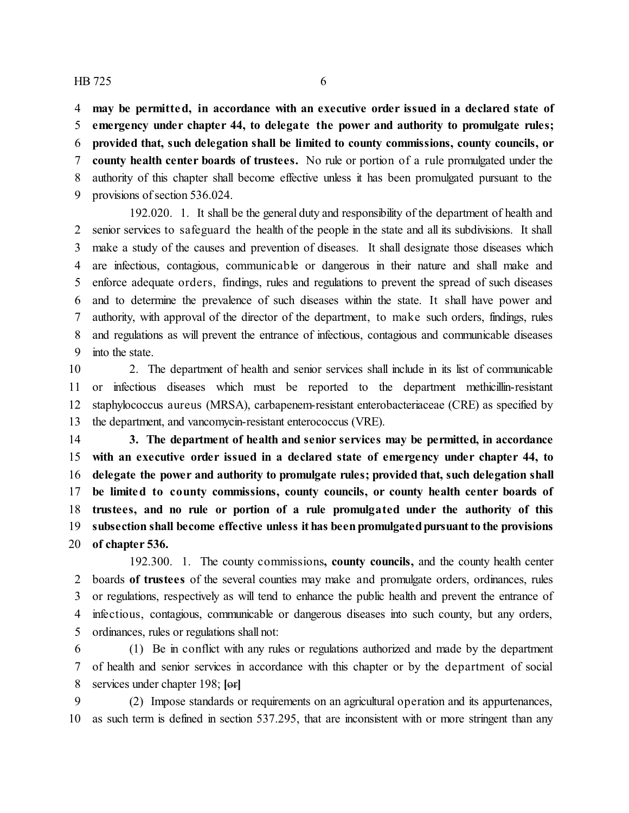**may be permitted, in accordance with an executive order issued in a declared state of emergency under chapter 44, to delegate the power and authority to promulgate rules; provided that, such delegation shall be limited to county commissions, county councils, or county health center boards of trustees.** No rule or portion of a rule promulgated under the authority of this chapter shall become effective unless it has been promulgated pursuant to the provisions of section 536.024.

192.020. 1. It shall be the general duty and responsibility of the department of health and senior services to safeguard the health of the people in the state and all its subdivisions. It shall make a study of the causes and prevention of diseases. It shall designate those diseases which are infectious, contagious, communicable or dangerous in their nature and shall make and enforce adequate orders, findings, rules and regulations to prevent the spread of such diseases and to determine the prevalence of such diseases within the state. It shall have power and authority, with approval of the director of the department, to make such orders, findings, rules and regulations as will prevent the entrance of infectious, contagious and communicable diseases into the state.

 2. The department of health and senior services shall include in its list of communicable or infectious diseases which must be reported to the department methicillin-resistant staphylococcus aureus (MRSA), carbapenem-resistant enterobacteriaceae (CRE) as specified by the department, and vancomycin-resistant enterococcus (VRE).

 **3. The department of health and senior services may be permitted, in accordance with an executive order issued in a declared state of emergency under chapter 44, to delegate the power and authority to promulgate rules; provided that, such delegation shall be limited to county commissions, county councils, or county health center boards of trustees, and no rule or portion of a rule promulgated under the authority of this subsection shall become effective unless it has beenpromulgatedpursuantto the provisions of chapter 536.**

192.300. 1. The county commissions**, county councils,** and the county health center boards **of trustees** of the several counties may make and promulgate orders, ordinances, rules or regulations, respectively as will tend to enhance the public health and prevent the entrance of infectious, contagious, communicable or dangerous diseases into such county, but any orders, ordinances, rules or regulations shall not:

 (1) Be in conflict with any rules or regulations authorized and made by the department of health and senior services in accordance with this chapter or by the department of social services under chapter 198; **[**or**]**

 (2) Impose standards or requirements on an agricultural operation and its appurtenances, as such term is defined in section 537.295, that are inconsistent with or more stringent than any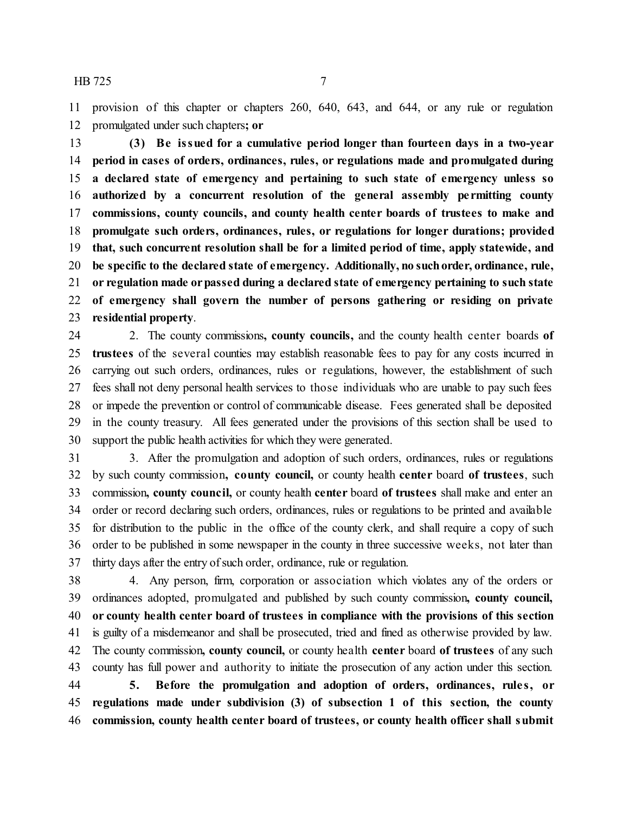provision of this chapter or chapters 260, 640, 643, and 644, or any rule or regulation promulgated under such chapters**; or**

 **(3) Be issued for a cumulative period longer than fourteen days in a two-year period in cases of orders, ordinances, rules, or regulations made and promulgated during a declared state of emergency and pertaining to such state of emergency unless so authorized by a concurrent resolution of the general assembly pe rmitting county commissions, county councils, and county health center boards of trustees to make and promulgate such orders, ordinances, rules, or regulations for longer durations; provided that, such concurrent resolution shall be for a limited period of time, apply statewide, and be specific to the declared state of emergency. Additionally, no suchorder, ordinance, rule, or regulation made orpassed during a declared state of emergency pertaining to such state of emergency shall govern the number of persons gathering or residing on private residential property**.

 2. The county commissions**, county councils,** and the county health center boards **of trustees** of the several counties may establish reasonable fees to pay for any costs incurred in carrying out such orders, ordinances, rules or regulations, however, the establishment of such fees shall not deny personal health services to those individuals who are unable to pay such fees or impede the prevention or control of communicable disease. Fees generated shall be deposited in the county treasury. All fees generated under the provisions of this section shall be used to support the public health activities for which they were generated.

 3. After the promulgation and adoption of such orders, ordinances, rules or regulations by such county commission**, county council,** or county health **center** board **of trustees**, such commission**, county council,** or county health **center** board **of trustees** shall make and enter an order or record declaring such orders, ordinances, rules or regulations to be printed and available for distribution to the public in the office of the county clerk, and shall require a copy of such order to be published in some newspaper in the county in three successive weeks, not later than 37 thirty days after the entry of such order, ordinance, rule or regulation.

 4. Any person, firm, corporation or association which violates any of the orders or ordinances adopted, promulgated and published by such county commission**, county council, or county health center board of trustees in compliance with the provisions of this section** is guilty of a misdemeanor and shall be prosecuted, tried and fined as otherwise provided by law. The county commission**, county council,** or county health **center** board **of trustees** of any such county has full power and authority to initiate the prosecution of any action under this section. **5. Before the promulgation and adoption of orders, ordinances, rule s, or regulations made under subdivision (3) of subsection 1 of this section, the county commission, county health center board of trustees, or county health officer shall submit**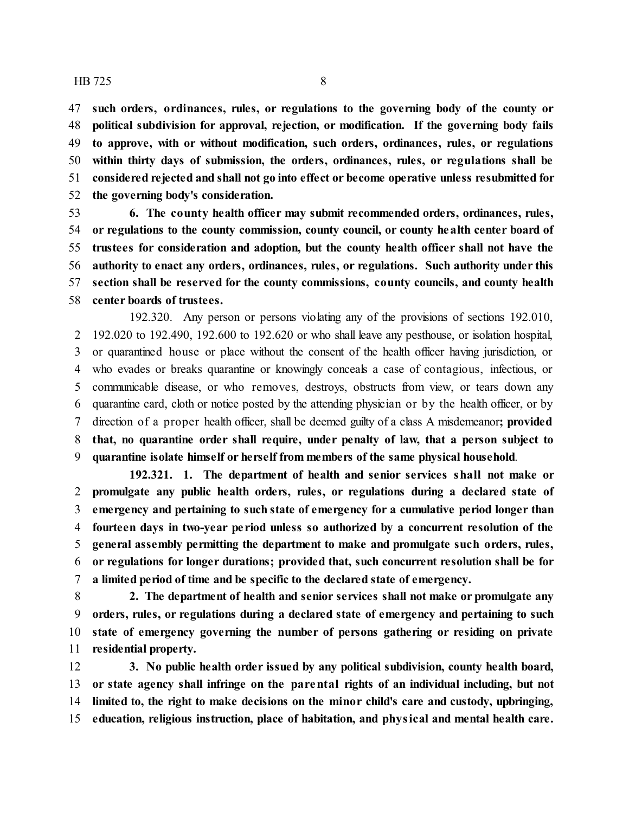**such orders, ordinances, rules, or regulations to the governing body of the county or political subdivision for approval, rejection, or modification. If the governing body fails to approve, with or without modification, such orders, ordinances, rules, or regulations within thirty days of submission, the orders, ordinances, rules, or regulations shall be considered rejected and shall not go into effect or become operative unless resubmitted for the governing body's consideration.**

 **6. The county health officer may submit recommended orders, ordinances, rules, or regulations to the county commission, county council, or county health center board of trustees for consideration and adoption, but the county health officer shall not have the authority to enact any orders, ordinances, rules, or regulations. Such authority under this section shall be reserved for the county commissions, county councils, and county health center boards of trustees.**

192.320. Any person or persons violating any of the provisions of sections 192.010, 192.020 to 192.490, 192.600 to 192.620 or who shall leave any pesthouse, or isolation hospital, or quarantined house or place without the consent of the health officer having jurisdiction, or who evades or breaks quarantine or knowingly conceals a case of contagious, infectious, or communicable disease, or who removes, destroys, obstructs from view, or tears down any quarantine card, cloth or notice posted by the attending physician or by the health officer, or by direction of a proper health officer, shall be deemed guilty of a class A misdemeanor**; provided that, no quarantine order shall require, under penalty of law, that a person subject to quarantine isolate himself or herself from members of the same physical household**.

**192.321. 1. The department of health and senior services shall not make or promulgate any public health orders, rules, or regulations during a declared state of emergency and pertaining to such state of emergency for a cumulative period longer than fourteen days in two-year pe riod unless so authorized by a concurrent resolution of the general assembly permitting the department to make and promulgate such orders, rules, or regulations for longer durations; provided that, such concurrent resolution shall be for a limited period of time and be specific to the declared state of emergency.**

 **2. The department of health and senior services shall not make or promulgate any orders, rules, or regulations during a declared state of emergency and pertaining to such state of emergency governing the number of persons gathering or residing on private residential property.**

 **3. No public health order issued by any political subdivision, county health board, or state agency shall infringe on the parental rights of an individual including, but not limited to, the right to make decisions on the minor child's care and custody, upbringing, education, religious instruction, place of habitation, and physical and mental health care.**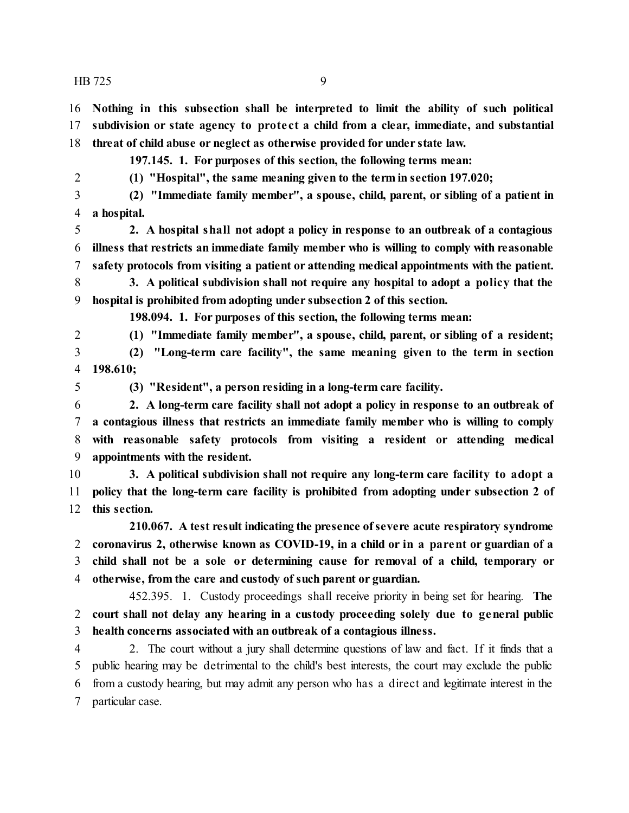**Nothing in this subsection shall be interpreted to limit the ability of such political subdivision or state agency to prote ct a child from a clear, immediate, and substantial threat of child abuse or neglect as otherwise provided for under state law.**

**197.145. 1. For purposes of this section, the following terms mean:**

**(1) "Hospital", the same meaning given to the term in section 197.020;**

 **(2) "Immediate family member", a spouse, child, parent, or sibling of a patient in a hospital.**

 **2. A hospital shall not adopt a policy in response to an outbreak of a contagious illness that restricts an immediate family member who is willing to comply with reasonable safety protocols from visiting a patient or attending medical appointments with the patient.**

 **3. A political subdivision shall not require any hospital to adopt a policy that the hospital is prohibited from adopting under subsection 2 of this section.**

**198.094. 1. For purposes of this section, the following terms mean:**

**(1) "Immediate family member", a spouse, child, parent, or sibling of a resident;**

 **(2) "Long-term care facility", the same meaning given to the term in section 198.610;**

**(3) "Resident", a person residing in a long-term care facility.**

 **2. A long-term care facility shall not adopt a policy in response to an outbreak of a contagious illness that restricts an immediate family member who is willing to comply with reasonable safety protocols from visiting a resident or attending medical appointments with the resident.**

 **3. A political subdivision shall not require any long-term care facility to adopt a policy that the long-term care facility is prohibited from adopting under subsection 2 of this section.**

**210.067. A test result indicating the presence ofsevere acute respiratory syndrome coronavirus 2, otherwise known as COVID-19, in a child or in a parent or guardian of a child shall not be a sole or determining cause for removal of a child, temporary or otherwise, from the care and custody of such parent or guardian.**

452.395. 1. Custody proceedings shall receive priority in being set for hearing. **The court shall not delay any hearing in a custody proceeding solely due to general public health concerns associated with an outbreak of a contagious illness.**

 2. The court without a jury shall determine questions of law and fact. If it finds that a public hearing may be detrimental to the child's best interests, the court may exclude the public from a custody hearing, but may admit any person who has a direct and legitimate interest in the particular case.